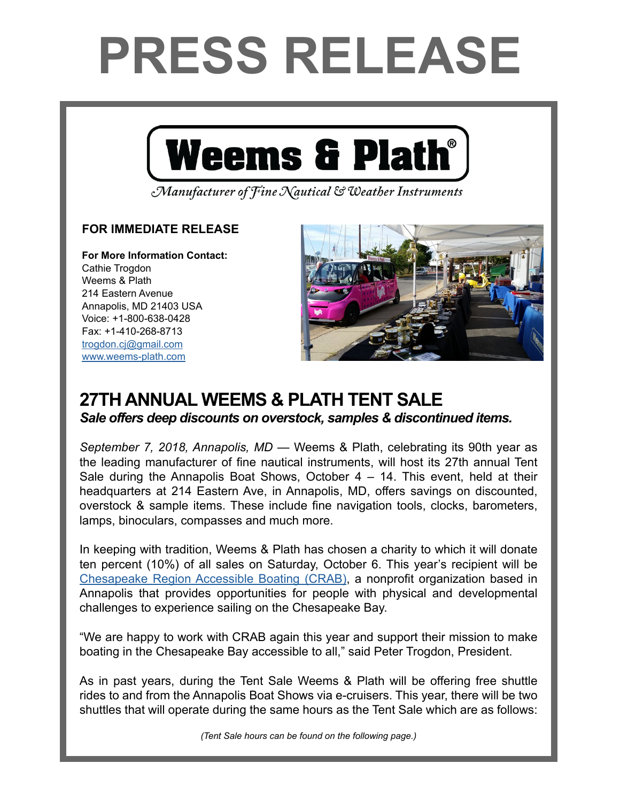## **PRESS RELEASE**



Manufacturer of Fine Nautical & Weather Instruments

## **FOR IMMEDIATE RELEASE**

**For More Information Contact:**  Cathie Trogdon Weems & Plath 214 Eastern Avenue Annapolis, MD 21403 USA Voice: +1-800-638-0428 Fax: +1-410-268-8713 [trogdon.cj@gmail.com](mailto:trogdon.cj%40gmail.com?subject=Regarding%20Press%20Release%20-%20On%20The%20Wind%20Sponsor) [www.weems-plath.com](http://www.weems-plath.com)



## **27TH ANNUAL WEEMS & PLATH TENT SALE**

*Sale offers deep discounts on overstock, samples & discontinued items.*

*September 7, 2018, Annapolis, MD* — Weems & Plath, celebrating its 90th year as the leading manufacturer of fine nautical instruments, will host its 27th annual Tent Sale during the Annapolis Boat Shows, October  $4 - 14$ . This event, held at their headquarters at 214 Eastern Ave, in Annapolis, MD, offers savings on discounted, overstock & sample items. These include fine navigation tools, clocks, barometers, lamps, binoculars, compasses and much more.

In keeping with tradition, Weems & Plath has chosen a charity to which it will donate ten percent (10%) of all sales on Saturday, October 6. This year's recipient will be [Chesapeake Region Accessible Boating \(CRAB\)](http://r20.rs6.net/tn.jsp?f=001C7A9nYjSnj5uEBSdiCJMTB-v1FM44i1ghjqX4lD7praU7Q3l2C2kDLcKB16e5d3a06jiT0rjdAiye7Y0vCuDnT78fU81fV_VgieDiyrL7luPicmAIo2rRbrNF0_mSU9V8hUTMxDHHSd5Fw1YShpW-w==&c=HbphL6VAc2MVP87ZkS9Sz7NZlteA2cyaBEXfPDbtTVRfdqQ4aGFRpQ==&ch=zz7ikVt6yvDLmh3Xw7P-8HVyhMWpiOs8jdBpAVgS4ZmDYKVd7GiQXA==), a nonprofit organization based in Annapolis that provides opportunities for people with physical and developmental challenges to experience sailing on the Chesapeake Bay.

"We are happy to work with CRAB again this year and support their mission to make boating in the Chesapeake Bay accessible to all," said Peter Trogdon, President.

As in past years, during the Tent Sale Weems & Plath will be offering free shuttle rides to and from the Annapolis Boat Shows via e-cruisers. This year, there will be two shuttles that will operate during the same hours as the Tent Sale which are as follows:

*(Tent Sale hours can be found on the following page.)*